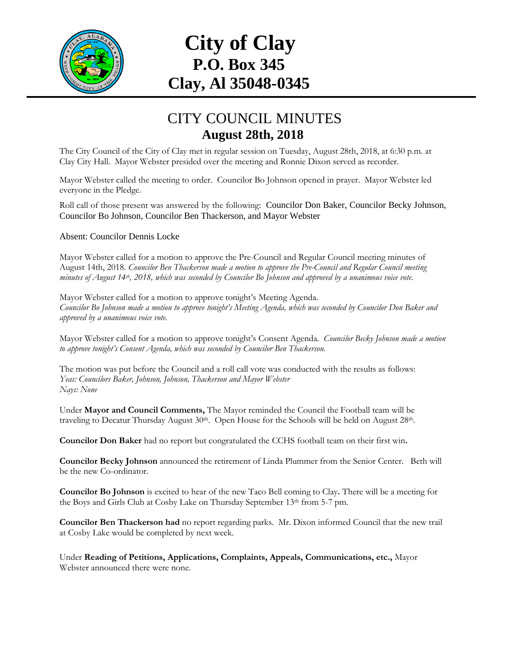

# **City of Clay P.O. Box 345 Clay, Al 35048-0345**

## CITY COUNCIL MINUTES **August 28th, 2018**

The City Council of the City of Clay met in regular session on Tuesday, August 28th, 2018, at 6:30 p.m. at Clay City Hall. Mayor Webster presided over the meeting and Ronnie Dixon served as recorder.

Mayor Webster called the meeting to order. Councilor Bo Johnson opened in prayer. Mayor Webster led everyone in the Pledge.

Roll call of those present was answered by the following: Councilor Don Baker, Councilor Becky Johnson, Councilor Bo Johnson, Councilor Ben Thackerson, and Mayor Webster

### Absent: Councilor Dennis Locke

Mayor Webster called for a motion to approve the Pre-Council and Regular Council meeting minutes of August 14th, 2018. *Councilor Ben Thackerson made a motion to approve the Pre-Council and Regular Council meeting minutes of August 14th , 2018, which was seconded by Councilor Bo Johnson and approved by a unanimous voice vote.*

Mayor Webster called for a motion to approve tonight's Meeting Agenda. *Councilor Bo Johnson made a motion to approve tonight's Meeting Agenda, which was seconded by Councilor Don Baker and approved by a unanimous voice vote.*

Mayor Webster called for a motion to approve tonight's Consent Agenda. *Councilor Becky Johnson made a motion to approve tonight's Consent Agenda, which was seconded by Councilor Ben Thackerson.*

The motion was put before the Council and a roll call vote was conducted with the results as follows: *Yeas: Councilors Baker, Johnson, Johnson, Thackerson and Mayor Webster Nays: None*

Under **Mayor and Council Comments,** The Mayor reminded the Council the Football team will be traveling to Decatur Thursday August 30<sup>th</sup>. Open House for the Schools will be held on August 28<sup>th</sup>.

**Councilor Don Baker** had no report but congratulated the CCHS football team on their first win**.**

**Councilor Becky Johnson** announced the retirement of Linda Plummer from the Senior Center. Beth will be the new Co-ordinator.

**Councilor Bo Johnson** is excited to hear of the new Taco Bell coming to Clay**.** There will be a meeting for the Boys and Girls Club at Cosby Lake on Thursday September 13th from 5-7 pm.

**Councilor Ben Thackerson had** no report regarding parks. Mr. Dixon informed Council that the new trail at Cosby Lake would be completed by next week.

Under **Reading of Petitions, Applications, Complaints, Appeals, Communications, etc.,** Mayor Webster announced there were none.